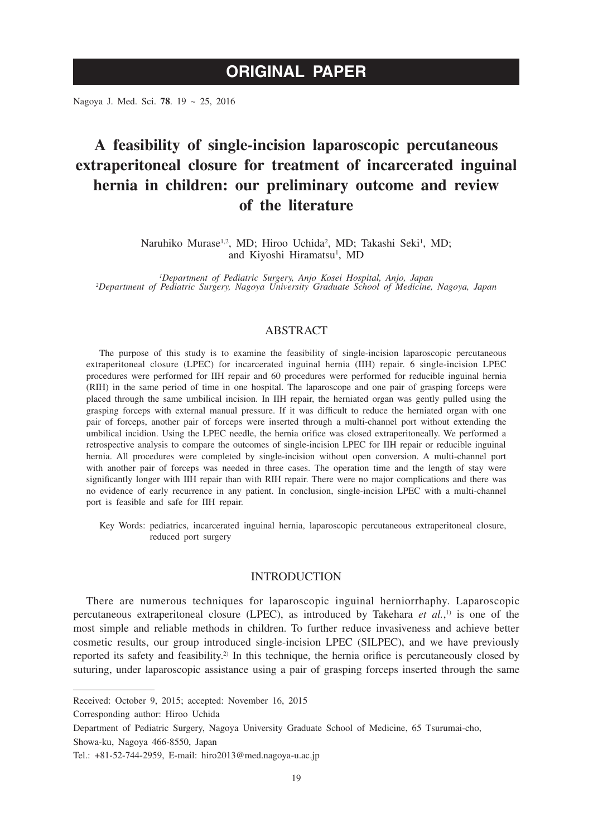# **ORIGINAL PAPER**

Nagoya J. Med. Sci. **78**. 19 ~ 25, 2016

# **A feasibility of single-incision laparoscopic percutaneous extraperitoneal closure for treatment of incarcerated inguinal hernia in children: our preliminary outcome and review of the literature**

Naruhiko Murase<sup>1,2</sup>, MD; Hiroo Uchida<sup>2</sup>, MD; Takashi Seki<sup>1</sup>, MD; and Kiyoshi Hiramatsu<sup>1</sup>, MD

*1 Department of Pediatric Surgery, Anjo Kosei Hospital, Anjo, Japan <sup>2</sup> Department of Pediatric Surgery, Nagoya University Graduate School of Medicine, Nagoya, Japan*

## ABSTRACT

The purpose of this study is to examine the feasibility of single-incision laparoscopic percutaneous extraperitoneal closure (LPEC) for incarcerated inguinal hernia (IIH) repair. 6 single-incision LPEC procedures were performed for IIH repair and 60 procedures were performed for reducible inguinal hernia (RIH) in the same period of time in one hospital. The laparoscope and one pair of grasping forceps were placed through the same umbilical incision. In IIH repair, the herniated organ was gently pulled using the grasping forceps with external manual pressure. If it was difficult to reduce the herniated organ with one pair of forceps, another pair of forceps were inserted through a multi-channel port without extending the umbilical incidion. Using the LPEC needle, the hernia orifice was closed extraperitoneally. We performed a retrospective analysis to compare the outcomes of single-incision LPEC for IIH repair or reducible inguinal hernia. All procedures were completed by single-incision without open conversion. A multi-channel port with another pair of forceps was needed in three cases. The operation time and the length of stay were significantly longer with IIH repair than with RIH repair. There were no major complications and there was no evidence of early recurrence in any patient. In conclusion, single-incision LPEC with a multi-channel port is feasible and safe for IIH repair.

Key Words: pediatrics, incarcerated inguinal hernia, laparoscopic percutaneous extraperitoneal closure, reduced port surgery

## INTRODUCTION

There are numerous techniques for laparoscopic inguinal herniorrhaphy. Laparoscopic percutaneous extraperitoneal closure (LPEC), as introduced by Takehara *et al.*, 1) is one of the most simple and reliable methods in children. To further reduce invasiveness and achieve better cosmetic results, our group introduced single-incision LPEC (SILPEC), and we have previously reported its safety and feasibility.<sup>2)</sup> In this technique, the hernia orifice is percutaneously closed by suturing, under laparoscopic assistance using a pair of grasping forceps inserted through the same

Received: October 9, 2015; accepted: November 16, 2015

Corresponding author: Hiroo Uchida

Department of Pediatric Surgery, Nagoya University Graduate School of Medicine, 65 Tsurumai-cho, Showa-ku, Nagoya 466-8550, Japan

Tel.: +81-52-744-2959, E-mail: hiro2013@med.nagoya-u.ac.jp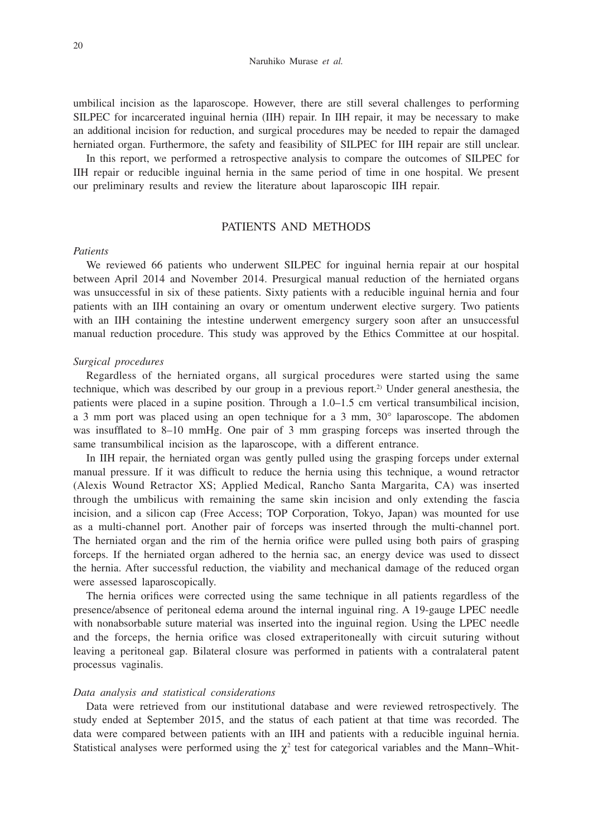#### Naruhiko Murase *et al.*

umbilical incision as the laparoscope. However, there are still several challenges to performing SILPEC for incarcerated inguinal hernia (IIH) repair. In IIH repair, it may be necessary to make an additional incision for reduction, and surgical procedures may be needed to repair the damaged herniated organ. Furthermore, the safety and feasibility of SILPEC for IIH repair are still unclear.

In this report, we performed a retrospective analysis to compare the outcomes of SILPEC for IIH repair or reducible inguinal hernia in the same period of time in one hospital. We present our preliminary results and review the literature about laparoscopic IIH repair.

## PATIENTS AND METHODS

### *Patients*

We reviewed 66 patients who underwent SILPEC for inguinal hernia repair at our hospital between April 2014 and November 2014. Presurgical manual reduction of the herniated organs was unsuccessful in six of these patients. Sixty patients with a reducible inguinal hernia and four patients with an IIH containing an ovary or omentum underwent elective surgery. Two patients with an IIH containing the intestine underwent emergency surgery soon after an unsuccessful manual reduction procedure. This study was approved by the Ethics Committee at our hospital.

#### *Surgical procedures*

Regardless of the herniated organs, all surgical procedures were started using the same technique, which was described by our group in a previous report.<sup>2)</sup> Under general anesthesia, the patients were placed in a supine position. Through a 1.0–1.5 cm vertical transumbilical incision, a 3 mm port was placed using an open technique for a 3 mm, 30° laparoscope. The abdomen was insufflated to 8–10 mmHg. One pair of 3 mm grasping forceps was inserted through the same transumbilical incision as the laparoscope, with a different entrance.

In IIH repair, the herniated organ was gently pulled using the grasping forceps under external manual pressure. If it was difficult to reduce the hernia using this technique, a wound retractor (Alexis Wound Retractor XS; Applied Medical, Rancho Santa Margarita, CA) was inserted through the umbilicus with remaining the same skin incision and only extending the fascia incision, and a silicon cap (Free Access; TOP Corporation, Tokyo, Japan) was mounted for use as a multi-channel port. Another pair of forceps was inserted through the multi-channel port. The herniated organ and the rim of the hernia orifice were pulled using both pairs of grasping forceps. If the herniated organ adhered to the hernia sac, an energy device was used to dissect the hernia. After successful reduction, the viability and mechanical damage of the reduced organ were assessed laparoscopically.

The hernia orifices were corrected using the same technique in all patients regardless of the presence/absence of peritoneal edema around the internal inguinal ring. A 19-gauge LPEC needle with nonabsorbable suture material was inserted into the inguinal region. Using the LPEC needle and the forceps, the hernia orifice was closed extraperitoneally with circuit suturing without leaving a peritoneal gap. Bilateral closure was performed in patients with a contralateral patent processus vaginalis.

#### *Data analysis and statistical considerations*

Data were retrieved from our institutional database and were reviewed retrospectively. The study ended at September 2015, and the status of each patient at that time was recorded. The data were compared between patients with an IIH and patients with a reducible inguinal hernia. Statistical analyses were performed using the  $\chi^2$  test for categorical variables and the Mann–Whit-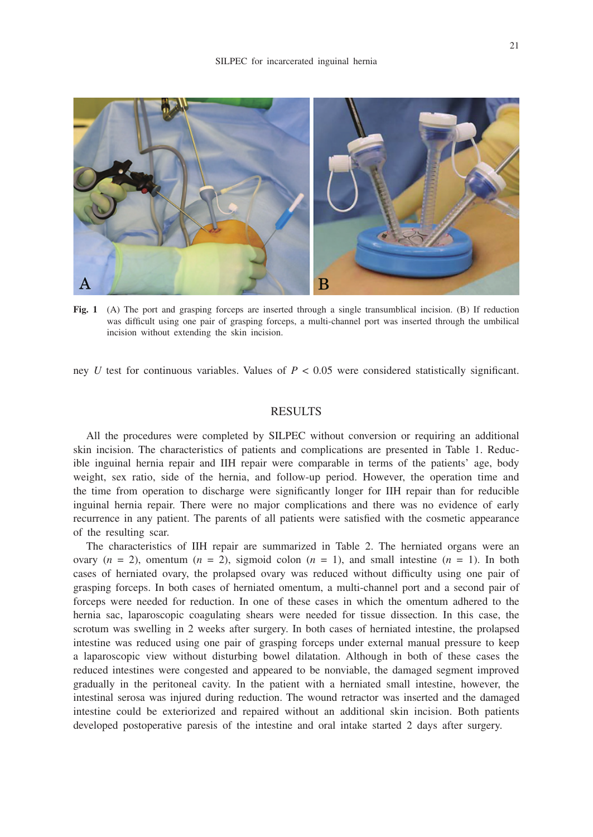

**Fig. 1** (A) The port and grasping forceps are inserted through a single transumblical incision. (B) If reduction was difficult using one pair of grasping forceps, a multi-channel port was inserted through the umbilical incision without extending the skin incision.

ney *U* test for continuous variables. Values of  $P < 0.05$  were considered statistically significant.

## RESULTS

All the procedures were completed by SILPEC without conversion or requiring an additional skin incision. The characteristics of patients and complications are presented in Table 1. Reducible inguinal hernia repair and IIH repair were comparable in terms of the patients' age, body weight, sex ratio, side of the hernia, and follow-up period. However, the operation time and the time from operation to discharge were significantly longer for IIH repair than for reducible inguinal hernia repair. There were no major complications and there was no evidence of early recurrence in any patient. The parents of all patients were satisfied with the cosmetic appearance of the resulting scar.

The characteristics of IIH repair are summarized in Table 2. The herniated organs were an ovary  $(n = 2)$ , omentum  $(n = 2)$ , sigmoid colon  $(n = 1)$ , and small intestine  $(n = 1)$ . In both cases of herniated ovary, the prolapsed ovary was reduced without difficulty using one pair of grasping forceps. In both cases of herniated omentum, a multi-channel port and a second pair of forceps were needed for reduction. In one of these cases in which the omentum adhered to the hernia sac, laparoscopic coagulating shears were needed for tissue dissection. In this case, the scrotum was swelling in 2 weeks after surgery. In both cases of herniated intestine, the prolapsed intestine was reduced using one pair of grasping forceps under external manual pressure to keep a laparoscopic view without disturbing bowel dilatation. Although in both of these cases the reduced intestines were congested and appeared to be nonviable, the damaged segment improved gradually in the peritoneal cavity. In the patient with a herniated small intestine, however, the intestinal serosa was injured during reduction. The wound retractor was inserted and the damaged intestine could be exteriorized and repaired without an additional skin incision. Both patients developed postoperative paresis of the intestine and oral intake started 2 days after surgery.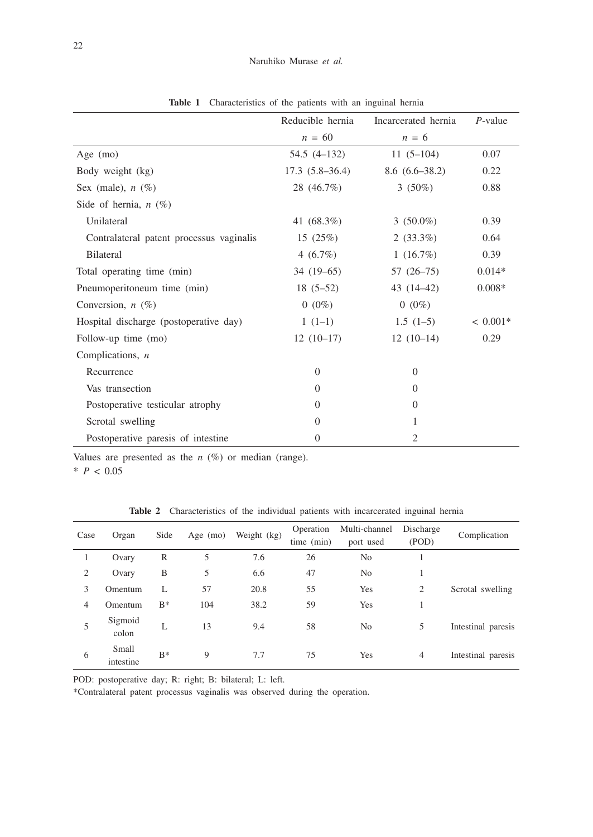|                                          | Reducible hernia | Incarcerated hernia | $P$ -value |
|------------------------------------------|------------------|---------------------|------------|
|                                          | $n = 60$         | $n = 6$             |            |
| Age $(mo)$                               | 54.5 (4–132)     | $11(5-104)$         | 0.07       |
| Body weight (kg)                         | $17.3(5.8-36.4)$ | $8.6(6.6-38.2)$     | 0.22       |
| Sex (male), $n$ (%)                      | 28 (46.7%)       | 3 $(50\%)$          | 0.88       |
| Side of hernia, $n(\%)$                  |                  |                     |            |
| Unilateral                               | 41 (68.3%)       | $3(50.0\%)$         | 0.39       |
| Contralateral patent processus vaginalis | 15(25%)          | $2(33.3\%)$         | 0.64       |
| <b>Bilateral</b>                         | 4 $(6.7\%)$      | $1(16.7\%)$         | 0.39       |
| Total operating time (min)               | $34(19-65)$      | $57(26-75)$         | $0.014*$   |
| Pneumoperitoneum time (min)              | $18(5-52)$       | $43(14-42)$         | $0.008*$   |
| Conversion, $n(\%)$                      | $0(0\%)$         | $0(0\%)$            |            |
| Hospital discharge (postoperative day)   | $1(1-1)$         | $1.5(1-5)$          | $< 0.001*$ |
| Follow-up time (mo)                      | $12(10-17)$      | $12(10-14)$         | 0.29       |
| Complications, $n$                       |                  |                     |            |
| Recurrence                               | $\Omega$         | $\overline{0}$      |            |
| Vas transection                          | $\Omega$         | $\Omega$            |            |
| Postoperative testicular atrophy         | $\overline{0}$   | $\Omega$            |            |
| Scrotal swelling                         | $\Omega$         | 1                   |            |
| Postoperative paresis of intestine       | $\Omega$         | $\overline{2}$      |            |

**Table 1** Characteristics of the patients with an inguinal hernia

Values are presented as the  $n$  (%) or median (range).

 $*$  *P* < 0.05

**Table 2** Characteristics of the individual patients with incarcerated inguinal hernia

| Case | Organ              | Side  | Age $(mo)$ | Weight (kg) | Operation<br>time (min) | Multi-channel<br>port used | Discharge<br>(POD) | Complication       |
|------|--------------------|-------|------------|-------------|-------------------------|----------------------------|--------------------|--------------------|
|      | Ovary              | R     | 5          | 7.6         | 26                      | No                         |                    |                    |
| 2    | Ovary              | B     | 5          | 6.6         | 47                      | No                         |                    |                    |
| 3    | Omentum            | L     | 57         | 20.8        | 55                      | Yes                        | 2                  | Scrotal swelling   |
| 4    | Omentum            | $B^*$ | 104        | 38.2        | 59                      | Yes                        |                    |                    |
|      | Sigmoid<br>colon   | L     | 13         | 9.4         | 58                      | N <sub>o</sub>             | 5                  | Intestinal paresis |
| 6    | Small<br>intestine | $B^*$ | 9          | 7.7         | 75                      | Yes                        | 4                  | Intestinal paresis |

POD: postoperative day; R: right; B: bilateral; L: left.

\*Contralateral patent processus vaginalis was observed during the operation.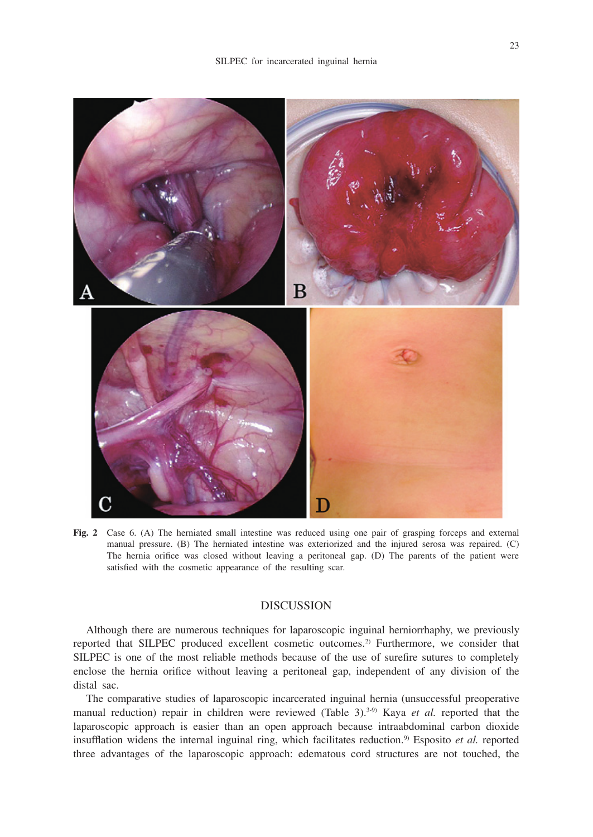

**Fig. 2** Case 6. (A) The herniated small intestine was reduced using one pair of grasping forceps and external manual pressure. (B) The herniated intestine was exteriorized and the injured serosa was repaired. (C) The hernia orifice was closed without leaving a peritoneal gap. (D) The parents of the patient were satisfied with the cosmetic appearance of the resulting scar.

## **DISCUSSION**

Although there are numerous techniques for laparoscopic inguinal herniorrhaphy, we previously reported that SILPEC produced excellent cosmetic outcomes.2) Furthermore, we consider that SILPEC is one of the most reliable methods because of the use of surefire sutures to completely enclose the hernia orifice without leaving a peritoneal gap, independent of any division of the distal sac.

The comparative studies of laparoscopic incarcerated inguinal hernia (unsuccessful preoperative manual reduction) repair in children were reviewed (Table 3).<sup>3,9)</sup> Kaya *et al.* reported that the laparoscopic approach is easier than an open approach because intraabdominal carbon dioxide insufflation widens the internal inguinal ring, which facilitates reduction.<sup>9)</sup> Esposito et al. reported three advantages of the laparoscopic approach: edematous cord structures are not touched, the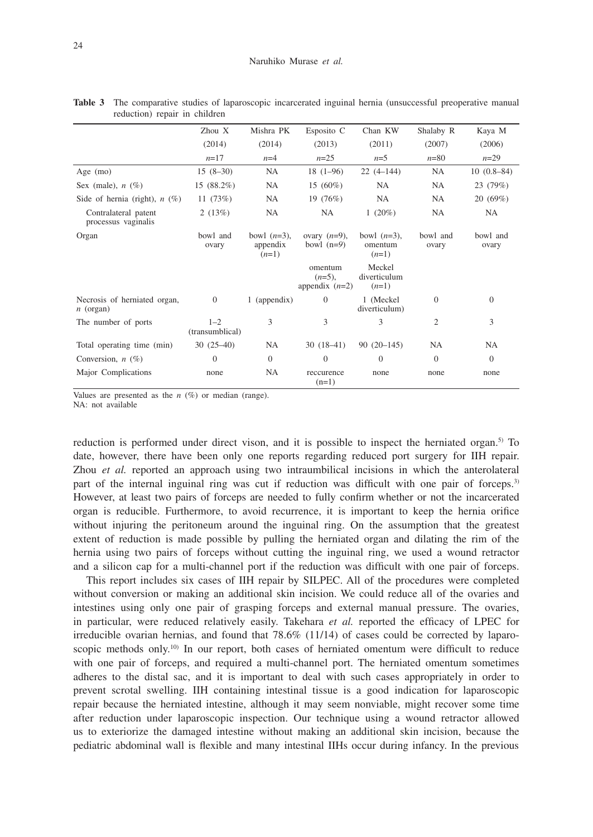|                                             | Zhou X                     | Mishra PK                             | Esposito C                               | Chan KW                              | Shalaby R         | Kaya M            |
|---------------------------------------------|----------------------------|---------------------------------------|------------------------------------------|--------------------------------------|-------------------|-------------------|
|                                             | (2014)                     | (2014)                                | (2013)                                   | (2011)                               | (2007)            | (2006)            |
|                                             | $n=17$                     | $n=4$                                 | $n=25$                                   | $n=5$                                | $n = 80$          | $n=29$            |
| Age $(mo)$                                  | $15(8-30)$                 | NA                                    | $18(1-96)$                               | $22(4-144)$                          | NA                | $10(0.8-84)$      |
| Sex (male), $n$ (%)                         | 15 (88.2%)                 | NA                                    | $15(60\%)$                               | <b>NA</b>                            | NA                | 23 (79%)          |
| Side of hernia (right), $n$ (%)             | 11 $(73%)$                 | NA                                    | 19(76%)                                  | <b>NA</b>                            | <b>NA</b>         | 20(69%)           |
| Contralateral patent<br>processus vaginalis | 2(13%)                     | NA                                    | NA                                       | 1 $(20\%)$                           | NA                | NA                |
| Organ                                       | bowl and<br>ovary          | bowl $(n=3)$ ,<br>appendix<br>$(n=1)$ | ovary $(n=9)$ ,<br>bowl $(n=9)$          | bowl $(n=3)$ ,<br>omentum<br>$(n=1)$ | bowl and<br>ovary | bowl and<br>ovary |
|                                             |                            |                                       | omentum<br>$(n=5)$ ,<br>appendix $(n=2)$ | Meckel<br>diverticulum<br>$(n=1)$    |                   |                   |
| Necrosis of herniated organ,<br>$n$ (organ) | $\overline{0}$             | 1 (appendix)                          | $\mathbf{0}$                             | 1 (Meckel)<br>diverticulum)          | $\theta$          | $\mathbf{0}$      |
| The number of ports                         | $1 - 2$<br>(transumblical) | 3                                     | 3                                        | 3                                    | 2                 | 3                 |
| Total operating time (min)                  | $30(25-40)$                | NA                                    | $30(18-41)$                              | $90(20-145)$                         | <b>NA</b>         | <b>NA</b>         |
| Conversion, $n$ (%)                         | $\Omega$                   | $\Omega$                              | $\overline{0}$                           | $\Omega$                             | $\Omega$          | $\theta$          |
| Major Complications                         | none                       | NA                                    | reccurence<br>$(n=1)$                    | none                                 | none              | none              |

**Table 3** The comparative studies of laparoscopic incarcerated inguinal hernia (unsuccessful preoperative manual reduction) repair in children

Values are presented as the  $n$  (%) or median (range).

NA: not available

reduction is performed under direct vison, and it is possible to inspect the herniated organ.<sup>5)</sup> To date, however, there have been only one reports regarding reduced port surgery for IIH repair. Zhou *et al.* reported an approach using two intraumbilical incisions in which the anterolateral part of the internal inguinal ring was cut if reduction was difficult with one pair of forceps.<sup>3)</sup> However, at least two pairs of forceps are needed to fully confirm whether or not the incarcerated organ is reducible. Furthermore, to avoid recurrence, it is important to keep the hernia orifice without injuring the peritoneum around the inguinal ring. On the assumption that the greatest extent of reduction is made possible by pulling the herniated organ and dilating the rim of the hernia using two pairs of forceps without cutting the inguinal ring, we used a wound retractor and a silicon cap for a multi-channel port if the reduction was difficult with one pair of forceps.

This report includes six cases of IIH repair by SILPEC. All of the procedures were completed without conversion or making an additional skin incision. We could reduce all of the ovaries and intestines using only one pair of grasping forceps and external manual pressure. The ovaries, in particular, were reduced relatively easily. Takehara *et al.* reported the efficacy of LPEC for irreducible ovarian hernias, and found that 78.6% (11/14) of cases could be corrected by laparoscopic methods only.<sup>10)</sup> In our report, both cases of herniated omentum were difficult to reduce with one pair of forceps, and required a multi-channel port. The herniated omentum sometimes adheres to the distal sac, and it is important to deal with such cases appropriately in order to prevent scrotal swelling. IIH containing intestinal tissue is a good indication for laparoscopic repair because the herniated intestine, although it may seem nonviable, might recover some time after reduction under laparoscopic inspection. Our technique using a wound retractor allowed us to exteriorize the damaged intestine without making an additional skin incision, because the pediatric abdominal wall is flexible and many intestinal IIHs occur during infancy. In the previous